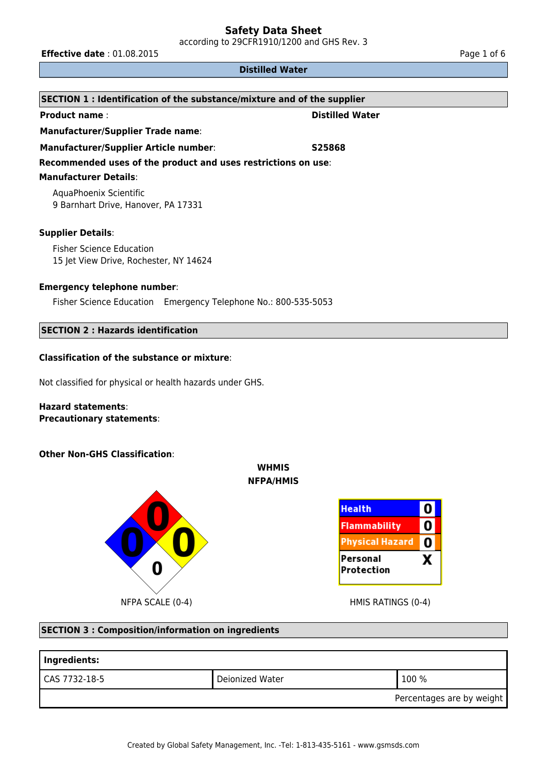according to 29CFR1910/1200 and GHS Rev. 3

**Effective date** : 01.08.2015 **Page 1 of 6** Page 1 of 6

#### **Distilled Water**

| SECTION 1 : Identification of the substance/mixture and of the supplier |                        |  |
|-------------------------------------------------------------------------|------------------------|--|
| <b>Product name:</b>                                                    | <b>Distilled Water</b> |  |
| <b>Manufacturer/Supplier Trade name:</b>                                |                        |  |
| <b>Manufacturer/Supplier Article number:</b>                            | S25868                 |  |
| Recommended uses of the product and uses restrictions on use:           |                        |  |
| <b>Manufacturer Details:</b>                                            |                        |  |
| AquaPhoenix Scientific<br>9 Barnhart Drive, Hanover, PA 17331           |                        |  |
| <b>Supplier Details:</b>                                                |                        |  |
| <b>Fisher Science Education</b>                                         |                        |  |
| 15 Jet View Drive, Rochester, NY 14624                                  |                        |  |
| <b>Emergency telephone number:</b>                                      |                        |  |
| Fisher Science Education Emergency Telephone No.: 800-535-5053          |                        |  |
| <b>SECTION 2 : Hazards identification</b>                               |                        |  |

#### **Classification of the substance or mixture**:

Not classified for physical or health hazards under GHS.

#### **Hazard statements**: **Precautionary statements**:

#### **Other Non-GHS Classification**:





## **SECTION 3 : Composition/information on ingredients**

| Ingredients:              |                 |         |  |
|---------------------------|-----------------|---------|--|
| CAS 7732-18-5             | Deionized Water | ' 100 % |  |
| Percentages are by weight |                 |         |  |

**WHMIS NFPA/HMIS**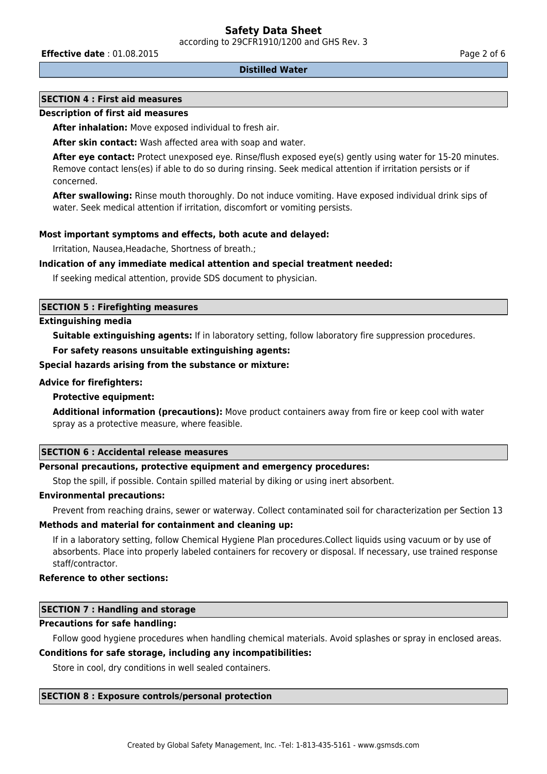according to 29CFR1910/1200 and GHS Rev. 3

**Effective date** : 01.08.2015 **Page 2 of 6 Page 2 of 6 Page 2 of 6** 

#### **Distilled Water**

### **SECTION 4 : First aid measures**

#### **Description of first aid measures**

**After inhalation:** Move exposed individual to fresh air.

**After skin contact:** Wash affected area with soap and water.

**After eye contact:** Protect unexposed eye. Rinse/flush exposed eye(s) gently using water for 15-20 minutes. Remove contact lens(es) if able to do so during rinsing. Seek medical attention if irritation persists or if concerned.

**After swallowing:** Rinse mouth thoroughly. Do not induce vomiting. Have exposed individual drink sips of water. Seek medical attention if irritation, discomfort or vomiting persists.

#### **Most important symptoms and effects, both acute and delayed:**

Irritation, Nausea,Headache, Shortness of breath.;

#### **Indication of any immediate medical attention and special treatment needed:**

If seeking medical attention, provide SDS document to physician.

#### **SECTION 5 : Firefighting measures**

#### **Extinguishing media**

**Suitable extinguishing agents:** If in laboratory setting, follow laboratory fire suppression procedures.

#### **For safety reasons unsuitable extinguishing agents:**

#### **Special hazards arising from the substance or mixture:**

#### **Advice for firefighters:**

#### **Protective equipment:**

**Additional information (precautions):** Move product containers away from fire or keep cool with water spray as a protective measure, where feasible.

#### **SECTION 6 : Accidental release measures**

## **Personal precautions, protective equipment and emergency procedures:**

Stop the spill, if possible. Contain spilled material by diking or using inert absorbent.

#### **Environmental precautions:**

Prevent from reaching drains, sewer or waterway. Collect contaminated soil for characterization per Section 13

#### **Methods and material for containment and cleaning up:**

If in a laboratory setting, follow Chemical Hygiene Plan procedures.Collect liquids using vacuum or by use of absorbents. Place into properly labeled containers for recovery or disposal. If necessary, use trained response staff/contractor.

### **Reference to other sections:**

## **SECTION 7 : Handling and storage**

#### **Precautions for safe handling:**

Follow good hygiene procedures when handling chemical materials. Avoid splashes or spray in enclosed areas.

#### **Conditions for safe storage, including any incompatibilities:**

Store in cool, dry conditions in well sealed containers.

#### **SECTION 8 : Exposure controls/personal protection**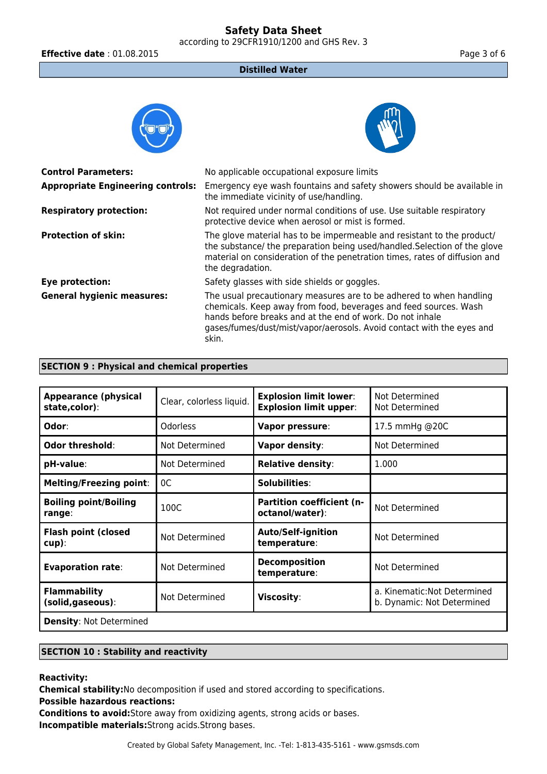according to 29CFR1910/1200 and GHS Rev. 3

**Effective date** : 01.08.2015 **Page 3 of 6** Page 3 of 6

### **Distilled Water**

| <b>Control Parameters:</b>               | No applicable occupational exposure limits                                                                                                                                                                                                                                             |
|------------------------------------------|----------------------------------------------------------------------------------------------------------------------------------------------------------------------------------------------------------------------------------------------------------------------------------------|
| <b>Appropriate Engineering controls:</b> | Emergency eye wash fountains and safety showers should be available in<br>the immediate vicinity of use/handling.                                                                                                                                                                      |
| <b>Respiratory protection:</b>           | Not required under normal conditions of use. Use suitable respiratory<br>protective device when aerosol or mist is formed.                                                                                                                                                             |
| <b>Protection of skin:</b>               | The glove material has to be impermeable and resistant to the product/<br>the substance/ the preparation being used/handled. Selection of the glove<br>material on consideration of the penetration times, rates of diffusion and<br>the degradation.                                  |
| Eye protection:                          | Safety glasses with side shields or goggles.                                                                                                                                                                                                                                           |
| <b>General hygienic measures:</b>        | The usual precautionary measures are to be adhered to when handling<br>chemicals. Keep away from food, beverages and feed sources. Wash<br>hands before breaks and at the end of work. Do not inhale<br>gases/fumes/dust/mist/vapor/aerosols. Avoid contact with the eyes and<br>skin. |

#### **SECTION 9 : Physical and chemical properties**

| <b>Appearance (physical</b><br>state,color): | Clear, colorless liquid. | <b>Explosion limit lower:</b><br><b>Explosion limit upper:</b> | Not Determined<br>Not Determined                           |  |
|----------------------------------------------|--------------------------|----------------------------------------------------------------|------------------------------------------------------------|--|
| Odor:                                        | <b>Odorless</b>          | Vapor pressure:                                                | 17.5 mmHg @20C                                             |  |
| Odor threshold:                              | Not Determined           | Vapor density:                                                 | Not Determined                                             |  |
| pH-value:                                    | Not Determined           | <b>Relative density:</b>                                       | 1.000                                                      |  |
| <b>Melting/Freezing point:</b>               | 0C                       | Solubilities:                                                  |                                                            |  |
| <b>Boiling point/Boiling</b><br>range:       | 100C                     | <b>Partition coefficient (n-</b><br>octanol/water):            | Not Determined                                             |  |
| <b>Flash point (closed</b><br>$cup$ ):       | Not Determined           | <b>Auto/Self-ignition</b><br>temperature:                      | Not Determined                                             |  |
| <b>Evaporation rate:</b>                     | Not Determined           | <b>Decomposition</b><br>temperature:                           | Not Determined                                             |  |
| <b>Flammability</b><br>(solid, gaseous):     | Not Determined           | Viscosity:                                                     | a. Kinematic: Not Determined<br>b. Dynamic: Not Determined |  |
| <b>Density: Not Determined</b>               |                          |                                                                |                                                            |  |

## **SECTION 10 : Stability and reactivity**

**Reactivity:**

**Chemical stability:**No decomposition if used and stored according to specifications.

**Possible hazardous reactions:**

**Conditions to avoid:**Store away from oxidizing agents, strong acids or bases. **Incompatible materials:**Strong acids.Strong bases.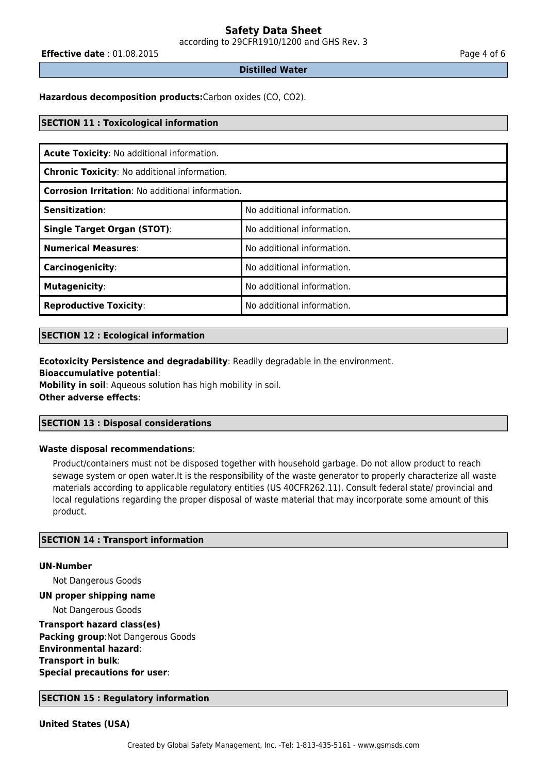according to 29CFR1910/1200 and GHS Rev. 3

**Effective date** : 01.08.2015 **Page 4 of 6 Page 4 of 6** 

#### **Distilled Water**

**Hazardous decomposition products:**Carbon oxides (CO, CO2).

#### **SECTION 11 : Toxicological information**

| Acute Toxicity: No additional information.              |                            |  |
|---------------------------------------------------------|----------------------------|--|
| <b>Chronic Toxicity: No additional information.</b>     |                            |  |
| <b>Corrosion Irritation: No additional information.</b> |                            |  |
| Sensitization:                                          | No additional information. |  |
| <b>Single Target Organ (STOT):</b>                      | No additional information. |  |
| <b>Numerical Measures:</b>                              | No additional information. |  |
| Carcinogenicity:                                        | No additional information. |  |
| <b>Mutagenicity:</b>                                    | No additional information. |  |
| <b>Reproductive Toxicity:</b>                           | No additional information. |  |

#### **SECTION 12 : Ecological information**

**Ecotoxicity Persistence and degradability**: Readily degradable in the environment. **Bioaccumulative potential**:

**Mobility in soil**: Aqueous solution has high mobility in soil. **Other adverse effects**:

#### **SECTION 13 : Disposal considerations**

#### **Waste disposal recommendations**:

Product/containers must not be disposed together with household garbage. Do not allow product to reach sewage system or open water.It is the responsibility of the waste generator to properly characterize all waste materials according to applicable regulatory entities (US 40CFR262.11). Consult federal state/ provincial and local regulations regarding the proper disposal of waste material that may incorporate some amount of this product.

#### **SECTION 14 : Transport information**

#### **UN-Number**

Not Dangerous Goods

#### **UN proper shipping name**

Not Dangerous Goods

**Transport hazard class(es) Packing group**:Not Dangerous Goods **Environmental hazard**: **Transport in bulk**: **Special precautions for user**:

#### **SECTION 15 : Regulatory information**

**United States (USA)**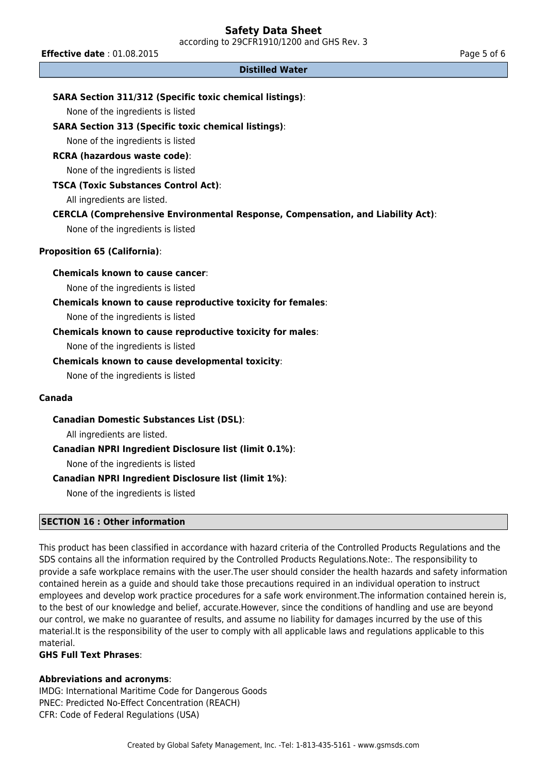according to 29CFR1910/1200 and GHS Rev. 3

**Effective date** : 01.08.2015 **Page 5 of 6 Page 5 of 6** 

#### **Distilled Water**

### **SARA Section 311/312 (Specific toxic chemical listings)**:

None of the ingredients is listed

#### **SARA Section 313 (Specific toxic chemical listings)**:

None of the ingredients is listed

#### **RCRA (hazardous waste code)**:

None of the ingredients is listed

#### **TSCA (Toxic Substances Control Act)**:

All ingredients are listed.

#### **CERCLA (Comprehensive Environmental Response, Compensation, and Liability Act)**:

None of the ingredients is listed

#### **Proposition 65 (California)**:

#### **Chemicals known to cause cancer**:

None of the ingredients is listed

#### **Chemicals known to cause reproductive toxicity for females**:

None of the ingredients is listed

#### **Chemicals known to cause reproductive toxicity for males**:

None of the ingredients is listed

#### **Chemicals known to cause developmental toxicity**:

None of the ingredients is listed

### **Canada**

**Canadian Domestic Substances List (DSL)**:

All ingredients are listed.

#### **Canadian NPRI Ingredient Disclosure list (limit 0.1%)**:

None of the ingredients is listed

#### **Canadian NPRI Ingredient Disclosure list (limit 1%)**:

None of the ingredients is listed

#### **SECTION 16 : Other information**

This product has been classified in accordance with hazard criteria of the Controlled Products Regulations and the SDS contains all the information required by the Controlled Products Regulations.Note:. The responsibility to provide a safe workplace remains with the user.The user should consider the health hazards and safety information contained herein as a guide and should take those precautions required in an individual operation to instruct employees and develop work practice procedures for a safe work environment.The information contained herein is, to the best of our knowledge and belief, accurate.However, since the conditions of handling and use are beyond our control, we make no guarantee of results, and assume no liability for damages incurred by the use of this material.It is the responsibility of the user to comply with all applicable laws and regulations applicable to this material.

#### **GHS Full Text Phrases**:

#### **Abbreviations and acronyms**:

IMDG: International Maritime Code for Dangerous Goods PNEC: Predicted No-Effect Concentration (REACH) CFR: Code of Federal Regulations (USA)